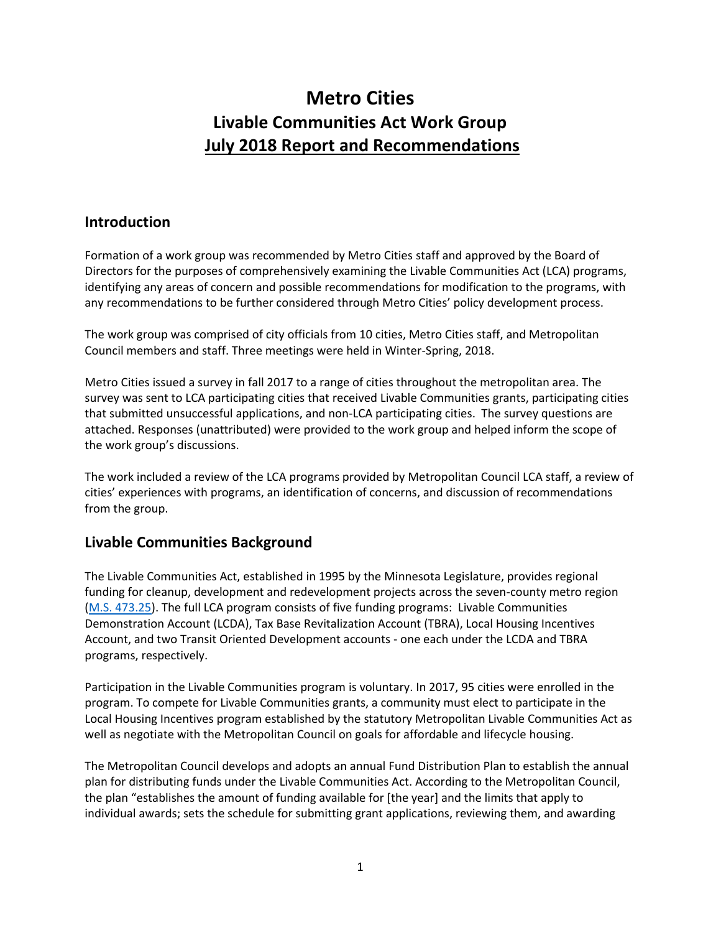# **Metro Cities Livable Communities Act Work Group July 2018 Report and Recommendations**

### **Introduction**

Formation of a work group was recommended by Metro Cities staff and approved by the Board of Directors for the purposes of comprehensively examining the Livable Communities Act (LCA) programs, identifying any areas of concern and possible recommendations for modification to the programs, with any recommendations to be further considered through Metro Cities' policy development process.

The work group was comprised of city officials from 10 cities, Metro Cities staff, and Metropolitan Council members and staff. Three meetings were held in Winter-Spring, 2018.

Metro Cities issued a survey in fall 2017 to a range of cities throughout the metropolitan area. The survey was sent to LCA participating cities that received Livable Communities grants, participating cities that submitted unsuccessful applications, and non-LCA participating cities. The survey questions are attached. Responses (unattributed) were provided to the work group and helped inform the scope of the work group's discussions.

The work included a review of the LCA programs provided by Metropolitan Council LCA staff, a review of cities' experiences with programs, an identification of concerns, and discussion of recommendations from the group.

### **Livable Communities Background**

The Livable Communities Act, established in 1995 by the Minnesota Legislature, provides regional funding for cleanup, development and redevelopment projects across the seven-county metro region [\(M.S. 473.25\)](https://www.revisor.mn.gov/statutes/?id=473.25). The full LCA program consists of five funding programs: Livable Communities Demonstration Account (LCDA), Tax Base Revitalization Account (TBRA), Local Housing Incentives Account, and two Transit Oriented Development accounts - one each under the LCDA and TBRA programs, respectively.

Participation in the Livable Communities program is voluntary. In 2017, 95 cities were enrolled in the program. To compete for Livable Communities grants, a community must elect to participate in the Local Housing Incentives program established by the statutory Metropolitan Livable Communities Act as well as negotiate with the Metropolitan Council on goals for affordable and lifecycle housing.

The Metropolitan Council develops and adopts an annual Fund Distribution Plan to establish the annual plan for distributing funds under the Livable Communities Act. According to the Metropolitan Council, the plan "establishes the amount of funding available for [the year] and the limits that apply to individual awards; sets the schedule for submitting grant applications, reviewing them, and awarding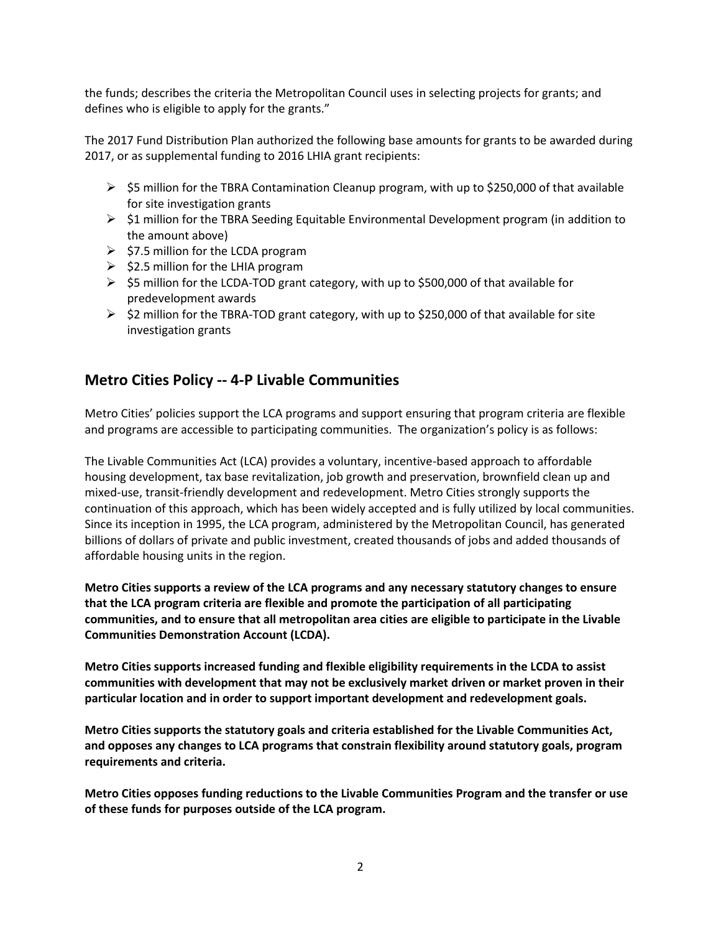the funds; describes the criteria the Metropolitan Council uses in selecting projects for grants; and defines who is eligible to apply for the grants."

The 2017 Fund Distribution Plan authorized the following base amounts for grants to be awarded during 2017, or as supplemental funding to 2016 LHIA grant recipients:

- $\triangleright$  \$5 million for the TBRA Contamination Cleanup program, with up to \$250,000 of that available for site investigation grants
- ➢ \$1 million for the TBRA Seeding Equitable Environmental Development program (in addition to the amount above)
- $\geq$  \$7.5 million for the LCDA program
- $\geq$  \$2.5 million for the LHIA program
- $\triangleright$  \$5 million for the LCDA-TOD grant category, with up to \$500,000 of that available for predevelopment awards
- $\triangleright$  \$2 million for the TBRA-TOD grant category, with up to \$250,000 of that available for site investigation grants

### **Metro Cities Policy -- 4-P Livable Communities**

Metro Cities' policies support the LCA programs and support ensuring that program criteria are flexible and programs are accessible to participating communities. The organization's policy is as follows:

The Livable Communities Act (LCA) provides a voluntary, incentive-based approach to affordable housing development, tax base revitalization, job growth and preservation, brownfield clean up and mixed-use, transit-friendly development and redevelopment. Metro Cities strongly supports the continuation of this approach, which has been widely accepted and is fully utilized by local communities. Since its inception in 1995, the LCA program, administered by the Metropolitan Council, has generated billions of dollars of private and public investment, created thousands of jobs and added thousands of affordable housing units in the region.

**Metro Cities supports a review of the LCA programs and any necessary statutory changes to ensure that the LCA program criteria are flexible and promote the participation of all participating communities, and to ensure that all metropolitan area cities are eligible to participate in the Livable Communities Demonstration Account (LCDA).** 

**Metro Cities supports increased funding and flexible eligibility requirements in the LCDA to assist communities with development that may not be exclusively market driven or market proven in their particular location and in order to support important development and redevelopment goals.** 

**Metro Cities supports the statutory goals and criteria established for the Livable Communities Act, and opposes any changes to LCA programs that constrain flexibility around statutory goals, program requirements and criteria.** 

**Metro Cities opposes funding reductions to the Livable Communities Program and the transfer or use of these funds for purposes outside of the LCA program.**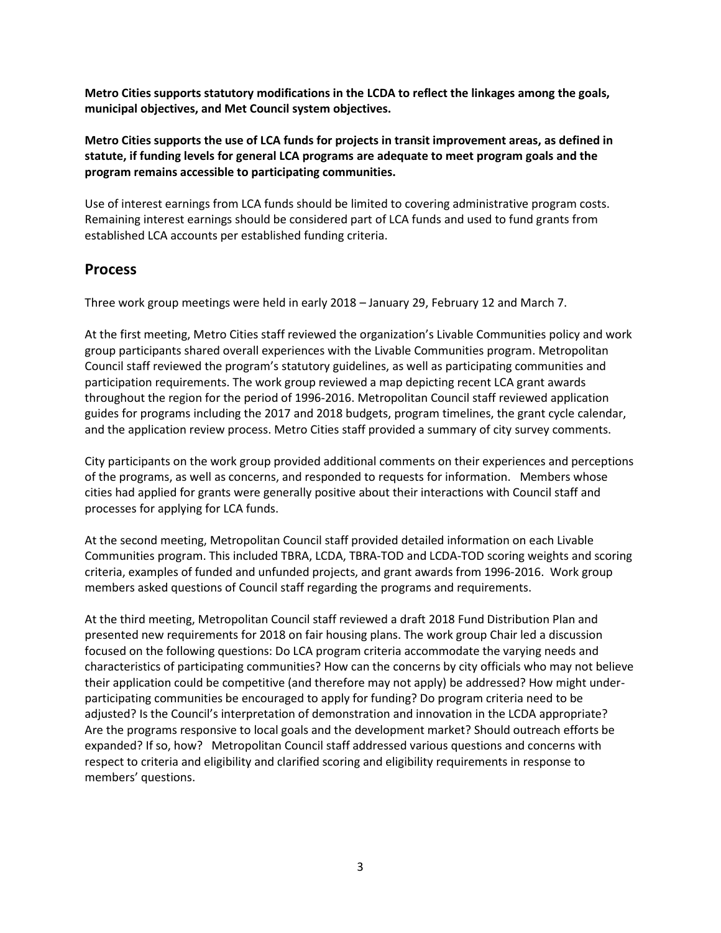**Metro Cities supports statutory modifications in the LCDA to reflect the linkages among the goals, municipal objectives, and Met Council system objectives.** 

**Metro Cities supports the use of LCA funds for projects in transit improvement areas, as defined in statute, if funding levels for general LCA programs are adequate to meet program goals and the program remains accessible to participating communities.**

Use of interest earnings from LCA funds should be limited to covering administrative program costs. Remaining interest earnings should be considered part of LCA funds and used to fund grants from established LCA accounts per established funding criteria.

### **Process**

Three work group meetings were held in early 2018 – January 29, February 12 and March 7.

At the first meeting, Metro Cities staff reviewed the organization's Livable Communities policy and work group participants shared overall experiences with the Livable Communities program. Metropolitan Council staff reviewed the program's statutory guidelines, as well as participating communities and participation requirements. The work group reviewed a map depicting recent LCA grant awards throughout the region for the period of 1996-2016. Metropolitan Council staff reviewed application guides for programs including the 2017 and 2018 budgets, program timelines, the grant cycle calendar, and the application review process. Metro Cities staff provided a summary of city survey comments.

City participants on the work group provided additional comments on their experiences and perceptions of the programs, as well as concerns, and responded to requests for information. Members whose cities had applied for grants were generally positive about their interactions with Council staff and processes for applying for LCA funds.

At the second meeting, Metropolitan Council staff provided detailed information on each Livable Communities program. This included TBRA, LCDA, TBRA-TOD and LCDA-TOD scoring weights and scoring criteria, examples of funded and unfunded projects, and grant awards from 1996-2016. Work group members asked questions of Council staff regarding the programs and requirements.

At the third meeting, Metropolitan Council staff reviewed a draft 2018 Fund Distribution Plan and presented new requirements for 2018 on fair housing plans. The work group Chair led a discussion focused on the following questions: Do LCA program criteria accommodate the varying needs and characteristics of participating communities? How can the concerns by city officials who may not believe their application could be competitive (and therefore may not apply) be addressed? How might underparticipating communities be encouraged to apply for funding? Do program criteria need to be adjusted? Is the Council's interpretation of demonstration and innovation in the LCDA appropriate? Are the programs responsive to local goals and the development market? Should outreach efforts be expanded? If so, how? Metropolitan Council staff addressed various questions and concerns with respect to criteria and eligibility and clarified scoring and eligibility requirements in response to members' questions.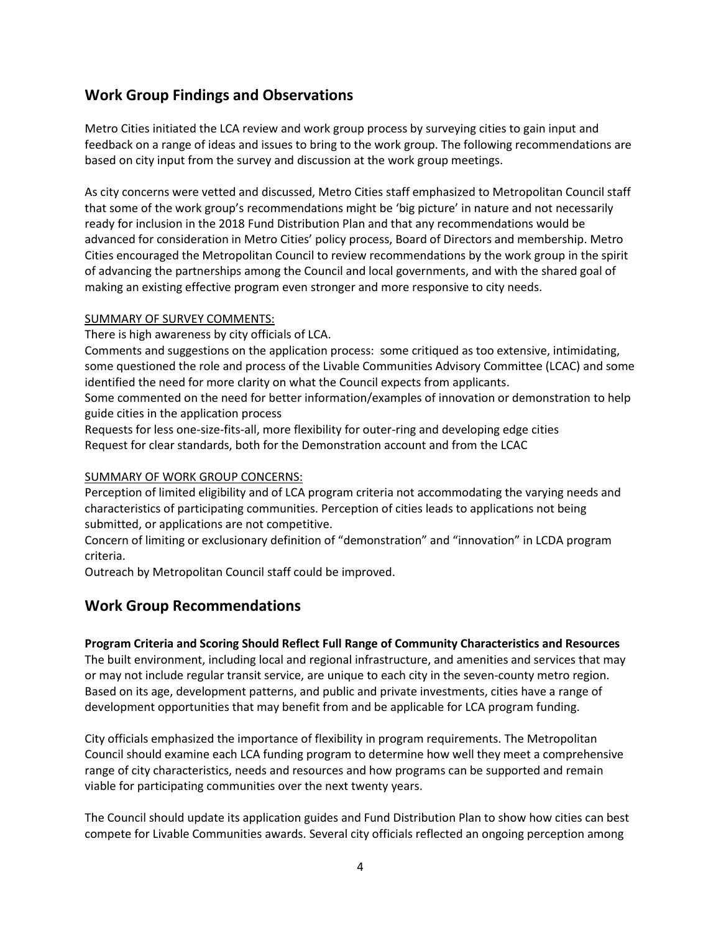# **Work Group Findings and Observations**

Metro Cities initiated the LCA review and work group process by surveying cities to gain input and feedback on a range of ideas and issues to bring to the work group. The following recommendations are based on city input from the survey and discussion at the work group meetings.

As city concerns were vetted and discussed, Metro Cities staff emphasized to Metropolitan Council staff that some of the work group's recommendations might be 'big picture' in nature and not necessarily ready for inclusion in the 2018 Fund Distribution Plan and that any recommendations would be advanced for consideration in Metro Cities' policy process, Board of Directors and membership. Metro Cities encouraged the Metropolitan Council to review recommendations by the work group in the spirit of advancing the partnerships among the Council and local governments, and with the shared goal of making an existing effective program even stronger and more responsive to city needs.

#### SUMMARY OF SURVEY COMMENTS:

There is high awareness by city officials of LCA.

Comments and suggestions on the application process: some critiqued as too extensive, intimidating, some questioned the role and process of the Livable Communities Advisory Committee (LCAC) and some identified the need for more clarity on what the Council expects from applicants.

Some commented on the need for better information/examples of innovation or demonstration to help guide cities in the application process

Requests for less one-size-fits-all, more flexibility for outer-ring and developing edge cities Request for clear standards, both for the Demonstration account and from the LCAC

#### SUMMARY OF WORK GROUP CONCERNS:

Perception of limited eligibility and of LCA program criteria not accommodating the varying needs and characteristics of participating communities. Perception of cities leads to applications not being submitted, or applications are not competitive.

Concern of limiting or exclusionary definition of "demonstration" and "innovation" in LCDA program criteria.

Outreach by Metropolitan Council staff could be improved.

### **Work Group Recommendations**

#### **Program Criteria and Scoring Should Reflect Full Range of Community Characteristics and Resources**

The built environment, including local and regional infrastructure, and amenities and services that may or may not include regular transit service, are unique to each city in the seven-county metro region. Based on its age, development patterns, and public and private investments, cities have a range of development opportunities that may benefit from and be applicable for LCA program funding.

City officials emphasized the importance of flexibility in program requirements. The Metropolitan Council should examine each LCA funding program to determine how well they meet a comprehensive range of city characteristics, needs and resources and how programs can be supported and remain viable for participating communities over the next twenty years.

The Council should update its application guides and Fund Distribution Plan to show how cities can best compete for Livable Communities awards. Several city officials reflected an ongoing perception among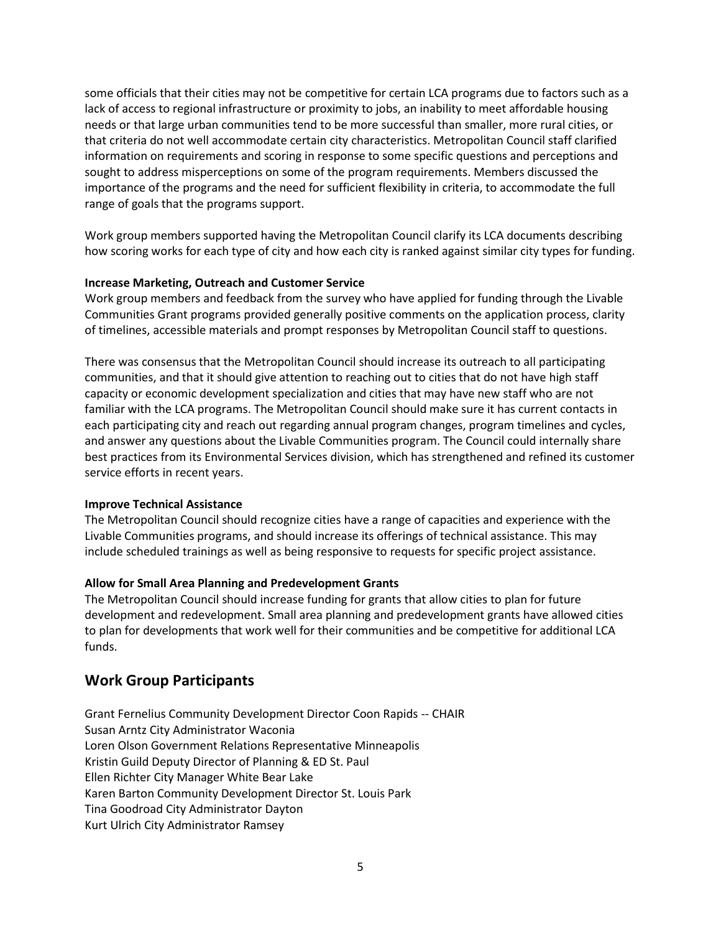some officials that their cities may not be competitive for certain LCA programs due to factors such as a lack of access to regional infrastructure or proximity to jobs, an inability to meet affordable housing needs or that large urban communities tend to be more successful than smaller, more rural cities, or that criteria do not well accommodate certain city characteristics. Metropolitan Council staff clarified information on requirements and scoring in response to some specific questions and perceptions and sought to address misperceptions on some of the program requirements. Members discussed the importance of the programs and the need for sufficient flexibility in criteria, to accommodate the full range of goals that the programs support.

Work group members supported having the Metropolitan Council clarify its LCA documents describing how scoring works for each type of city and how each city is ranked against similar city types for funding.

#### **Increase Marketing, Outreach and Customer Service**

Work group members and feedback from the survey who have applied for funding through the Livable Communities Grant programs provided generally positive comments on the application process, clarity of timelines, accessible materials and prompt responses by Metropolitan Council staff to questions.

There was consensus that the Metropolitan Council should increase its outreach to all participating communities, and that it should give attention to reaching out to cities that do not have high staff capacity or economic development specialization and cities that may have new staff who are not familiar with the LCA programs. The Metropolitan Council should make sure it has current contacts in each participating city and reach out regarding annual program changes, program timelines and cycles, and answer any questions about the Livable Communities program. The Council could internally share best practices from its Environmental Services division, which has strengthened and refined its customer service efforts in recent years.

#### **Improve Technical Assistance**

The Metropolitan Council should recognize cities have a range of capacities and experience with the Livable Communities programs, and should increase its offerings of technical assistance. This may include scheduled trainings as well as being responsive to requests for specific project assistance.

### **Allow for Small Area Planning and Predevelopment Grants**

The Metropolitan Council should increase funding for grants that allow cities to plan for future development and redevelopment. Small area planning and predevelopment grants have allowed cities to plan for developments that work well for their communities and be competitive for additional LCA funds.

## **Work Group Participants**

Grant Fernelius Community Development Director Coon Rapids -- CHAIR Susan Arntz City Administrator Waconia Loren Olson Government Relations Representative Minneapolis Kristin Guild Deputy Director of Planning & ED St. Paul Ellen Richter City Manager White Bear Lake Karen Barton Community Development Director St. Louis Park Tina Goodroad City Administrator Dayton Kurt Ulrich City Administrator Ramsey